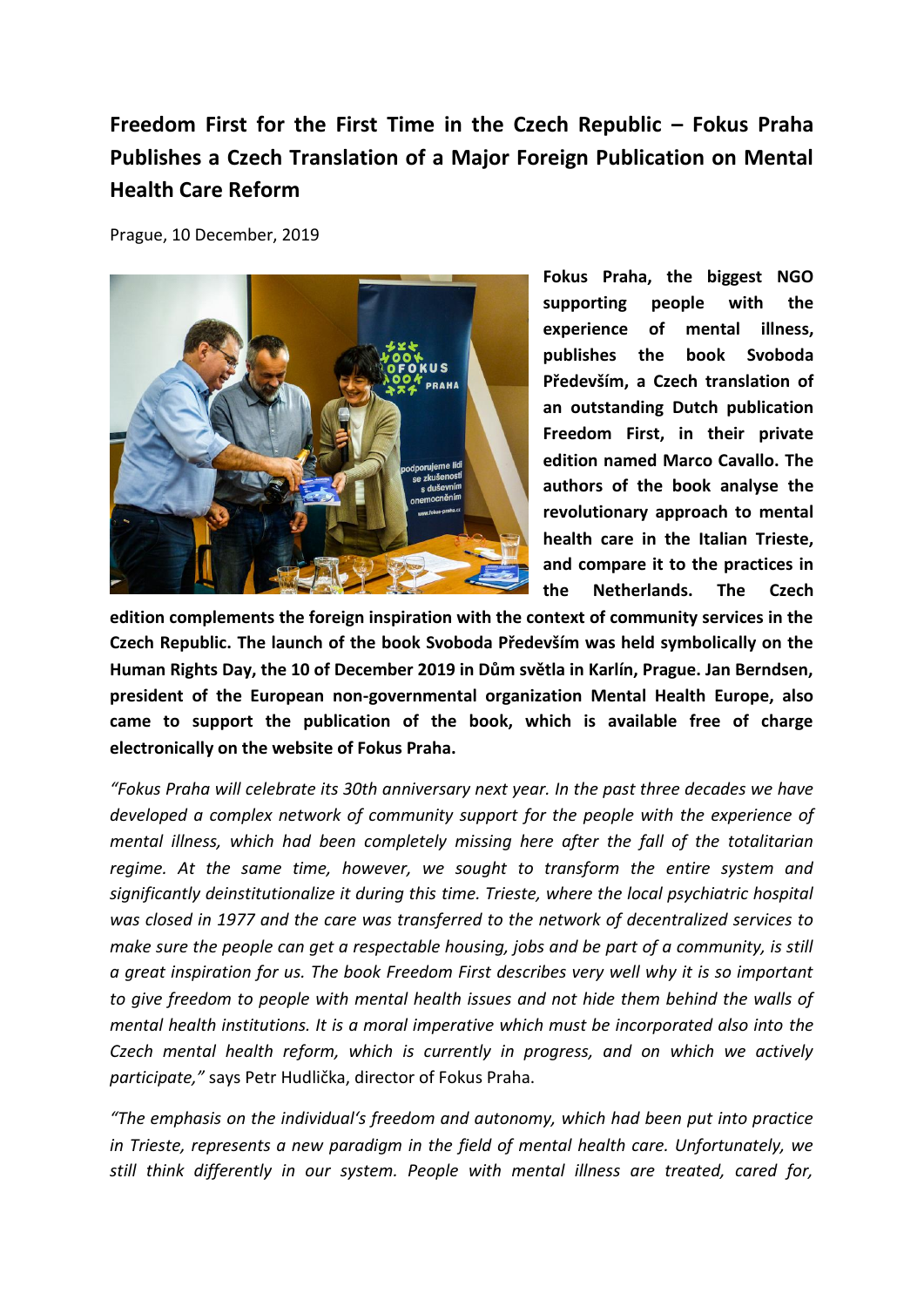## **Freedom First for the First Time in the Czech Republic – Fokus Praha Publishes a Czech Translation of a Major Foreign Publication on Mental Health Care Reform**

Prague, 10 December, 2019



**Fokus Praha, the biggest NGO supporting people with the experience of mental illness, publishes the book Svoboda Především, a Czech translation of an outstanding Dutch publication Freedom First, in their private edition named Marco Cavallo. The authors of the book analyse the revolutionary approach to mental health care in the Italian Trieste, and compare it to the practices in the Netherlands. The Czech** 

**edition complements the foreign inspiration with the context of community services in the Czech Republic. The launch of the book Svoboda Především was held symbolically on the Human Rights Day, the 10 of December 2019 in Dům světla in Karlín, Prague. Jan Berndsen, president of the European non-governmental organization Mental Health Europe, also came to support the publication of the book, which is available free of charge electronically on the website of Fokus Praha.**

*"Fokus Praha will celebrate its 30th anniversary next year. In the past three decades we have developed a complex network of community support for the people with the experience of mental illness, which had been completely missing here after the fall of the totalitarian regime. At the same time, however, we sought to transform the entire system and significantly deinstitutionalize it during this time. Trieste, where the local psychiatric hospital was closed in 1977 and the care was transferred to the network of decentralized services to make sure the people can get a respectable housing, jobs and be part of a community, is still a great inspiration for us. The book Freedom First describes very well why it is so important to give freedom to people with mental health issues and not hide them behind the walls of mental health institutions. It is a moral imperative which must be incorporated also into the Czech mental health reform, which is currently in progress, and on which we actively participate,"* says Petr Hudlička, director of Fokus Praha.

*"The emphasis on the individual's freedom and autonomy, which had been put into practice in Trieste, represents a new paradigm in the field of mental health care. Unfortunately, we still think differently in our system. People with mental illness are treated, cared for,*